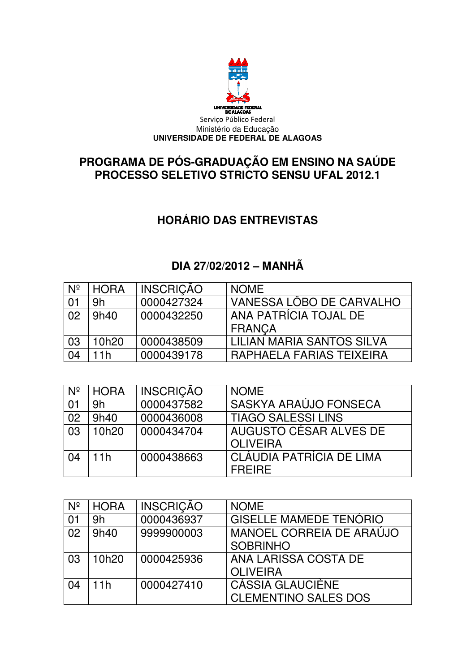

#### **PROGRAMA DE PÓS PROCESSO SELETIVO STRICTO SENSU UFAL 2012.1 PÓS-GRADUAÇÃO EM ENSINO NA SAÚDE GRADUAÇÃO**

## **HORÁRIO DAS E ENTREVISTAS**

### **DIA 27 27/02/2012 – MANHÃ**

| $N^{\circ}$ | <b>HORA</b> | <b>INSCRIÇÃO</b> | <b>NOME</b>               |
|-------------|-------------|------------------|---------------------------|
| 01          | 9h          | 0000427324       | VANESSA LÔBO DE CARVALHO  |
| 02          | 9h40        | 0000432250       | ANA PATRÍCIA TOJAL DE     |
|             |             |                  | <b>FRANCA</b>             |
| 03          | 10h20       | 0000438509       | LILIAN MARIA SANTOS SILVA |
| 04          | 11h         | 0000439178       | RAPHAELA FARIAS TEIXEIRA  |

| $N^{\circ}$ | <b>HORA</b> | <b>INSCRICÃO</b> | <b>NOME</b>                     |
|-------------|-------------|------------------|---------------------------------|
| 01          | 9h          | 0000437582       | SASKYA ARAÚJO FONSECA           |
| 02          | 9h40        | 0000436008       | <b>TIAGO SALESSI LINS</b>       |
| 03          | 10h20       | 0000434704       | AUGUSTO CÉSAR ALVES DE          |
|             |             |                  | <b>OLIVEIRA</b>                 |
| 04          | 11h         | 0000438663       | <b>CLÁUDIA PATRÍCIA DE LIMA</b> |
|             |             |                  | <b>FREIRE</b>                   |

| $N^{\circ}$ | <b>HORA</b> | <b>INSCRIÇÃO</b> | <b>NOME</b>                   |
|-------------|-------------|------------------|-------------------------------|
| 01          | 9h          | 0000436937       | <b>GISELLE MAMEDE TENORIO</b> |
| 02          | 9h40        | 9999900003       | MANOEL CORREIA DE ARAÚJO      |
|             |             |                  | <b>SOBRINHO</b>               |
| 03          | 10h20       | 0000425936       | ANA LARISSA COSTA DE          |
|             |             |                  | <b>OLIVEIRA</b>               |
| 04          | 11h         | 0000427410       | CÁSSIA GLAUCIÈNE              |
|             |             |                  | <b>CLEMENTINO SALES DOS</b>   |